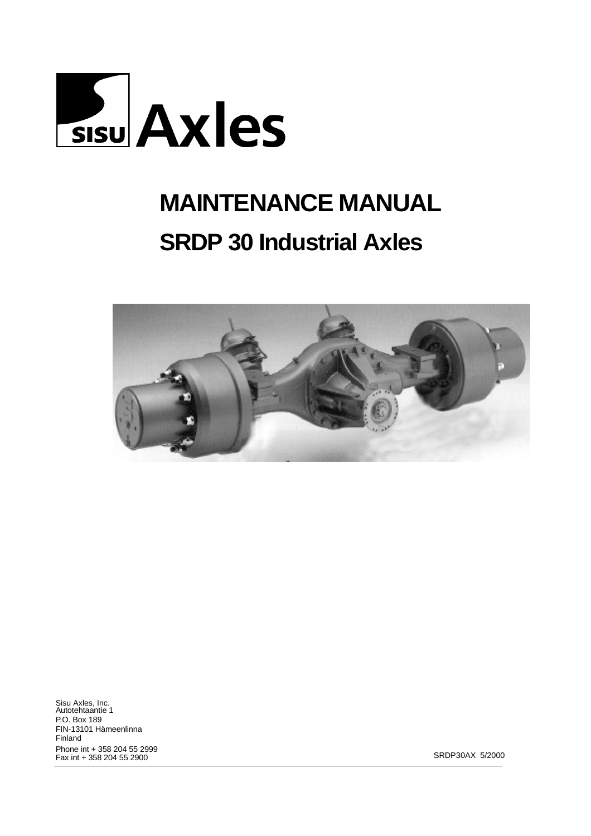

# **MAINTENANCE MANUAL SRDP 30 Industrial Axles**



Sisu Axles, Inc. Autotehtaantie 1 P.O. Box 189 FIN-13101 Hämeenlinna Phone int + 358 204 55 2999 Fax int + 358 204 55 2900 Finland

SRDP30AX 5/2000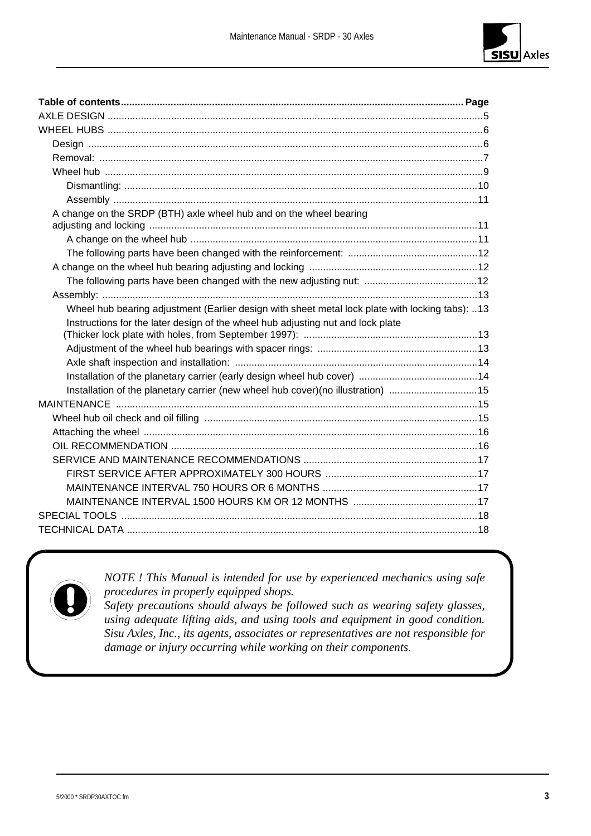

| A change on the SRDP (BTH) axle wheel hub and on the wheel bearing                              |  |
|-------------------------------------------------------------------------------------------------|--|
|                                                                                                 |  |
|                                                                                                 |  |
|                                                                                                 |  |
|                                                                                                 |  |
|                                                                                                 |  |
| Wheel hub bearing adjustment (Earlier design with sheet metal lock plate with locking tabs): 13 |  |
| Instructions for the later design of the wheel hub adjusting nut and lock plate                 |  |
|                                                                                                 |  |
|                                                                                                 |  |
|                                                                                                 |  |
|                                                                                                 |  |
| Installation of the planetary carrier (new wheel hub cover)(no illustration)  15                |  |
|                                                                                                 |  |
|                                                                                                 |  |
|                                                                                                 |  |
|                                                                                                 |  |
|                                                                                                 |  |
|                                                                                                 |  |
|                                                                                                 |  |
|                                                                                                 |  |
|                                                                                                 |  |
|                                                                                                 |  |



*NOTE ! This Manual is intended for use by experienced mechanics using safe procedures in properly equipped shops.*

*Safety precautions should always be followed such as wearing safety glasses, using adequate lifting aids, and using tools and equipment in good condition. Sisu Axles, Inc., its agents, associates or representatives are not responsible for damage or injury occurring while working on their components.*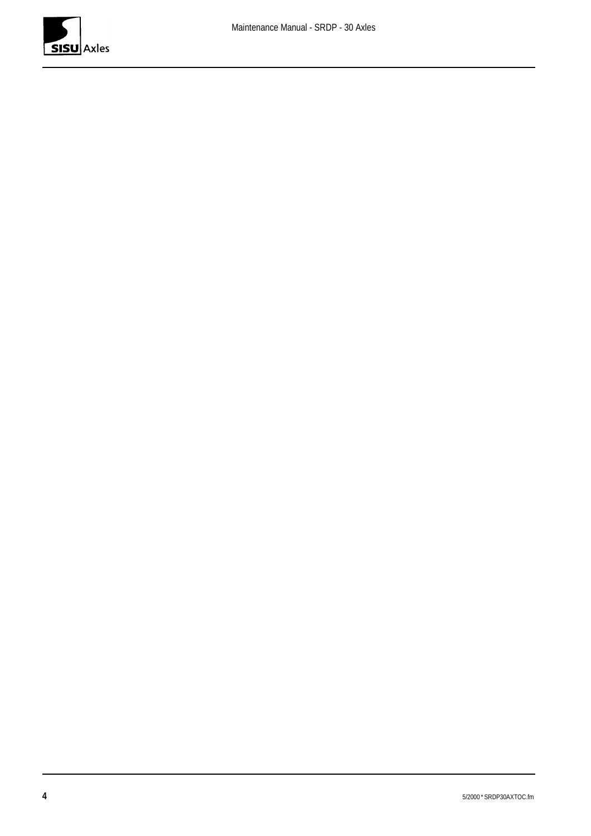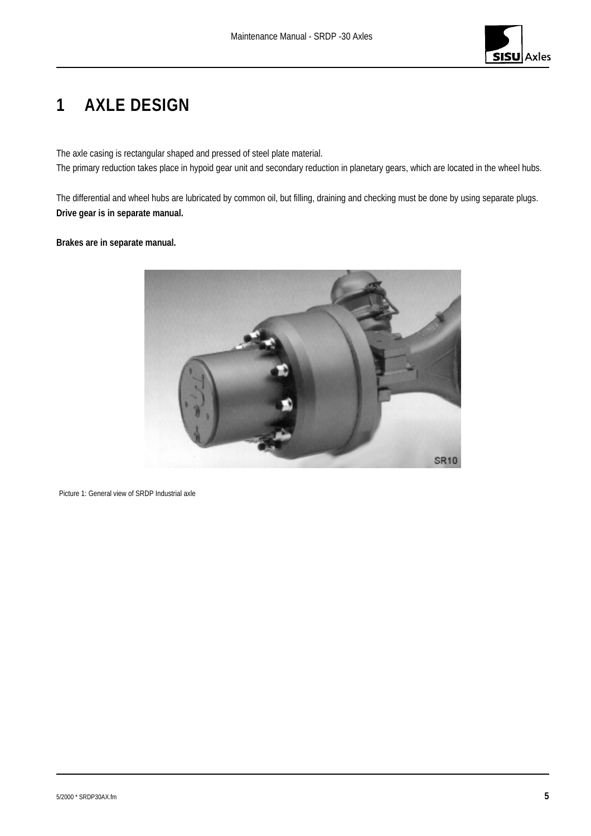

# <span id="page-4-0"></span>**1 AXLE DESIGN**

The axle casing is rectangular shaped and pressed of steel plate material. The primary reduction takes place in hypoid gear unit and secondary reduction in planetary gears, which are located in the wheel hubs.

The differential and wheel hubs are lubricated by common oil, but filling, draining and checking must be done by using separate plugs. **Drive gear is in separate manual.**

#### **Brakes are in separate manual.**



Picture 1: General view of SRDP Industrial axle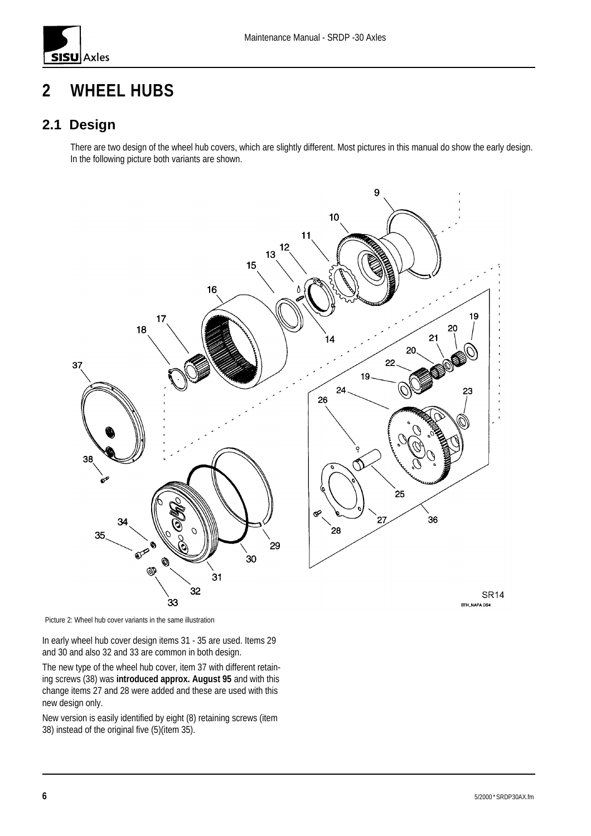

# <span id="page-5-0"></span>**2 WHEEL HUBS**

### <span id="page-5-1"></span>**2.1 Design**

There are two design of the wheel hub covers, which are slightly different. Most pictures in this manual do show the early design. In the following picture both variants are shown.



Picture 2: Wheel hub cover variants in the same illustration

In early wheel hub cover design items 31 - 35 are used. Items 29 and 30 and also 32 and 33 are common in both design.

The new type of the wheel hub cover, item 37 with different retaining screws (38) was **introduced approx. August 95** and with this change items 27 and 28 were added and these are used with this new design only.

New version is easily identified by eight (8) retaining screws (item 38) instead of the original five (5)(item 35).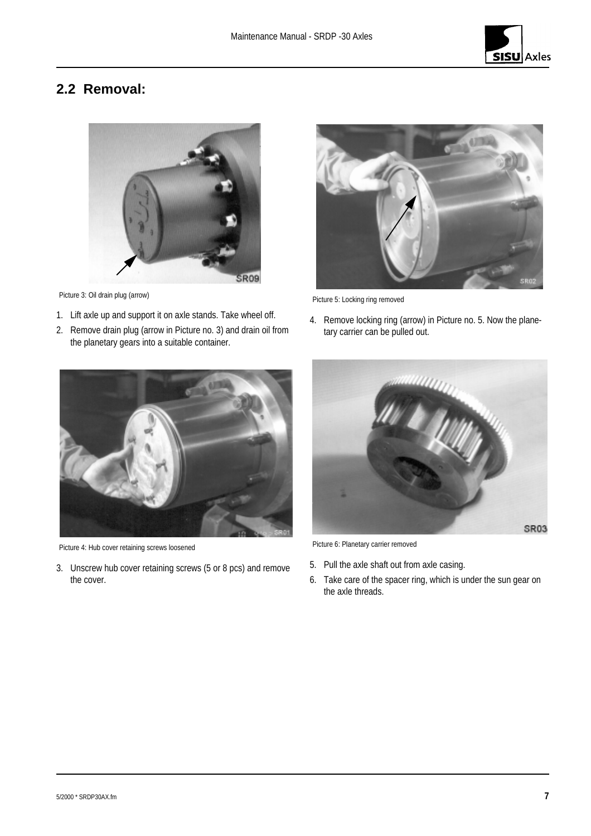

### <span id="page-6-0"></span>**2.2 Removal:**



<span id="page-6-2"></span>Picture 3: Oil drain plug (arrow)

- 1. Lift axle up and support it on axle stands. Take wheel off.
- 2. Remove drain plug (arrow in [Picture no. 3](#page-6-2)) and drain oil from the planetary gears into a suitable container.



Picture 5: Locking ring removed

<span id="page-6-1"></span>4. Remove locking ring (arrow) in [Picture no. 5](#page-6-1). Now the planetary carrier can be pulled out.



Picture 4: Hub cover retaining screws loosened

3. Unscrew hub cover retaining screws (5 or 8 pcs) and remove the cover.



Picture 6: Planetary carrier removed

- 5. Pull the axle shaft out from axle casing.
- 6. Take care of the spacer ring, which is under the sun gear on the axle threads.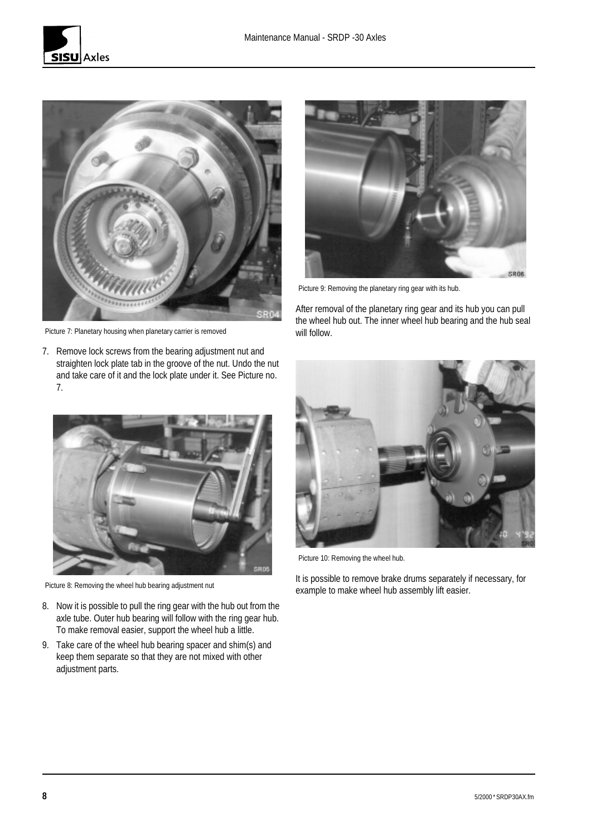



Picture 7: Planetary housing when planetary carrier is removed

<span id="page-7-0"></span>7. Remove lock screws from the bearing adjustment nut and straighten lock plate tab in the groove of the nut. Undo the nut and take care of it and the lock plate under it. See [Picture no.](#page-7-0)  [7](#page-7-0).



Picture 8: Removing the wheel hub bearing adjustment nut

- 8. Now it is possible to pull the ring gear with the hub out from the axle tube. Outer hub bearing will follow with the ring gear hub. To make removal easier, support the wheel hub a little.
- 9. Take care of the wheel hub bearing spacer and shim(s) and keep them separate so that they are not mixed with other adjustment parts.



Picture 9: Removing the planetary ring gear with its hub.

After removal of the planetary ring gear and its hub you can pull the wheel hub out. The inner wheel hub bearing and the hub seal will follow.



Picture 10: Removing the wheel hub.

It is possible to remove brake drums separately if necessary, for example to make wheel hub assembly lift easier.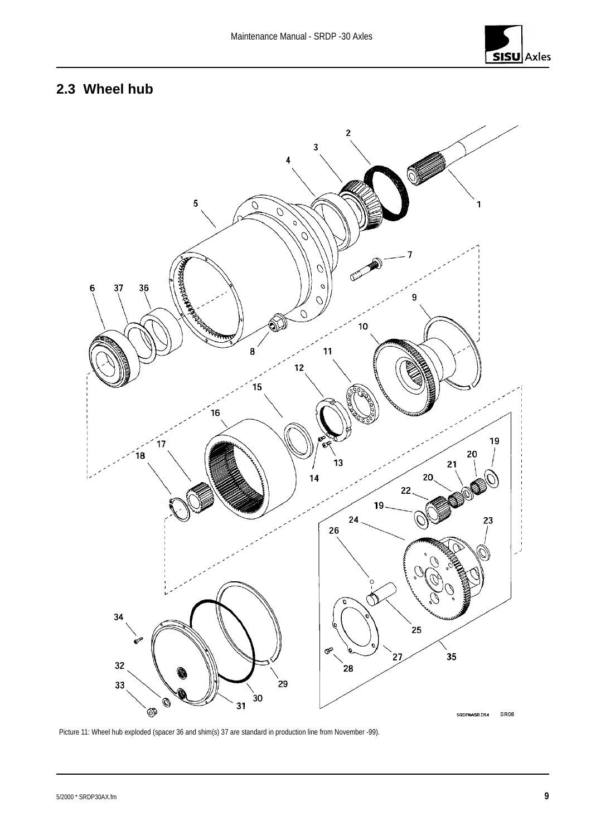

### <span id="page-8-0"></span>**2.3 Wheel hub**



<span id="page-8-1"></span>Picture 11: Wheel hub exploded (spacer 36 and shim(s) 37 are standard in production line from November -99).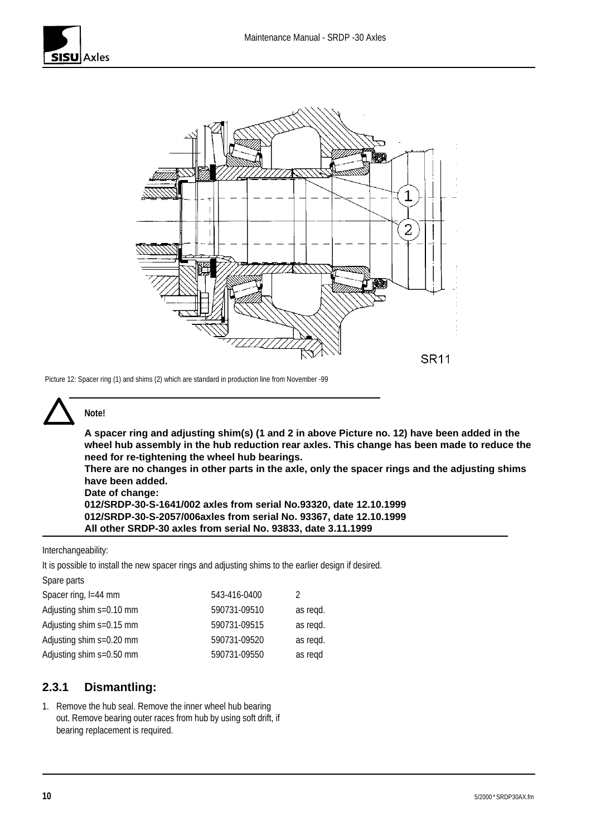



<span id="page-9-1"></span>Picture 12: Spacer ring (1) and shims (2) which are standard in production line from November -99

# **Note!**

**A spacer ring and adjusting shim(s) (1 and 2 in above [Picture no. 12\)](#page-9-1) have been added in the wheel hub assembly in the hub reduction rear axles. This change has been made to reduce the need for re-tightening the wheel hub bearings.** 

**There are no changes in other parts in the axle, only the spacer rings and the adjusting shims have been added.** 

**Date of change: 012/SRDP-30-S-1641/002 axles from serial No.93320, date 12.10.1999 012/SRDP-30-S-2057/006axles from serial No. 93367, date 12.10.1999 All other SRDP-30 axles from serial No. 93833, date 3.11.1999**

#### Interchangeability:

It is possible to install the new spacer rings and adjusting shims to the earlier design if desired.

Spare parts

| Spacer ring, I=44 mm     | 543-416-0400 | $\mathcal{P}$ |
|--------------------------|--------------|---------------|
| Adjusting shim s=0.10 mm | 590731-09510 | as regd.      |
| Adjusting shim s=0.15 mm | 590731-09515 | as regd.      |
| Adjusting shim s=0.20 mm | 590731-09520 | as regd.      |
| Adjusting shim s=0.50 mm | 590731-09550 | as regd       |

#### <span id="page-9-0"></span>**2.3.1 Dismantling:**

1. Remove the hub seal. Remove the inner wheel hub bearing out. Remove bearing outer races from hub by using soft drift, if bearing replacement is required.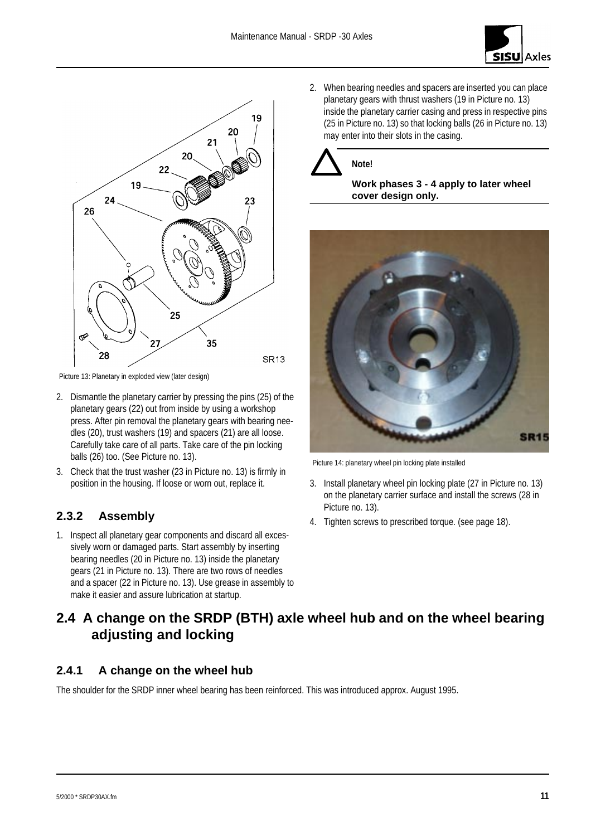



<span id="page-10-3"></span>Picture 13: Planetary in exploded view (later design)

- 2. Dismantle the planetary carrier by pressing the pins (25) of the planetary gears (22) out from inside by using a workshop press. After pin removal the planetary gears with bearing needles (20), trust washers (19) and spacers (21) are all loose. Carefully take care of all parts. Take care of the pin locking balls (26) too. (See [Picture no. 13](#page-10-3)).
- 3. Check that the trust washer (23 in [Picture no. 13](#page-10-3)) is firmly in position in the housing. If loose or worn out, replace it.

#### <span id="page-10-0"></span>**2.3.2 Assembly**

1. Inspect all planetary gear components and discard all excessively worn or damaged parts. Start assembly by inserting bearing needles (20 in [Picture no. 13](#page-10-3)) inside the planetary gears (21 in [Picture no. 13](#page-10-3)). There are two rows of needles and a spacer (22 in [Picture no. 13\)](#page-10-3). Use grease in assembly to make it easier and assure lubrication at startup.

2. When bearing needles and spacers are inserted you can place planetary gears with thrust washers (19 in [Picture no. 13\)](#page-10-3) inside the planetary carrier casing and press in respective pins (25 in [Picture no. 13](#page-10-3)) so that locking balls (26 in [Picture no. 13](#page-10-3)) may enter into their slots in the casing.



#### **Work phases 3 - 4 apply to later wheel cover design only.**



Picture 14: planetary wheel pin locking plate installed

- 3. Install planetary wheel pin locking plate (27 in [Picture no. 13\)](#page-10-3) on the planetary carrier surface and install the screws (28 in [Picture no. 13\)](#page-10-3).
- 4. Tighten screws to prescribed torque. (see [page 18\)](#page-17-1).

# <span id="page-10-1"></span>**2.4 A change on the SRDP (BTH) axle wheel hub and on the wheel bearing adjusting and locking**

#### <span id="page-10-2"></span>**2.4.1 A change on the wheel hub**

The shoulder for the SRDP inner wheel bearing has been reinforced. This was introduced approx. August 1995.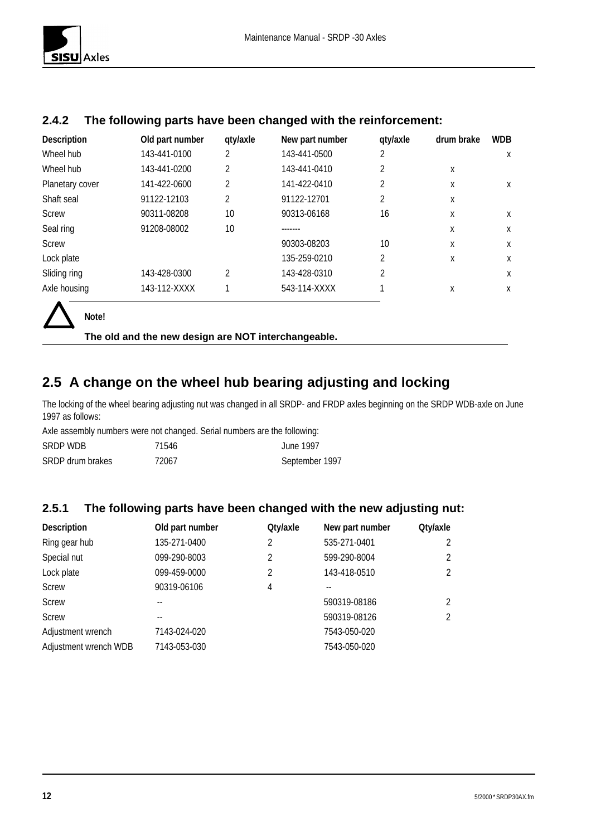

| <b>Description</b> | Old part number | qty/axle       | New part number | qty/axle | drum brake | <b>WDB</b> |
|--------------------|-----------------|----------------|-----------------|----------|------------|------------|
| Wheel hub          | 143-441-0100    | 2              | 143-441-0500    | 2        |            | Х          |
| Wheel hub          | 143-441-0200    | 2              | 143-441-0410    | 2        | x          |            |
| Planetary cover    | 141-422-0600    | 2              | 141-422-0410    | 2        | x          | X          |
| Shaft seal         | 91122-12103     | 2              | 91122-12701     | 2        | x          |            |
| <b>Screw</b>       | 90311-08208     | 10             | 90313-06168     | 16       | X          | X          |
| Seal ring          | 91208-08002     | 10             |                 |          | X          | X          |
| <b>Screw</b>       |                 |                | 90303-08203     | 10       | x          | Х          |
| Lock plate         |                 |                | 135-259-0210    | 2        | X          | X          |
| Sliding ring       | 143-428-0300    | $\overline{2}$ | 143-428-0310    | 2        |            | X          |
| Axle housing       | 143-112-XXXX    |                | 543-114-XXXX    |          | X          | X          |

#### <span id="page-11-0"></span>**2.4.2 The following parts have been changed with the reinforcement:**



## <span id="page-11-1"></span>**2.5 A change on the wheel hub bearing adjusting and locking**

The locking of the wheel bearing adjusting nut was changed in all SRDP- and FRDP axles beginning on the SRDP WDB-axle on June 1997 as follows:

Axle assembly numbers were not changed. Serial numbers are the following:

| SRDP WDB         | 71546 | June 1997.     |
|------------------|-------|----------------|
| SRDP drum brakes | 72067 | September 1997 |

#### <span id="page-11-2"></span>**2.5.1 The following parts have been changed with the new adjusting nut:**

| <b>Description</b>    | Old part number | <b>Qty/axle</b> | New part number | <b>Qty/axle</b> |
|-----------------------|-----------------|-----------------|-----------------|-----------------|
| Ring gear hub         | 135-271-0400    | 2               | 535-271-0401    |                 |
| Special nut           | 099-290-8003    | 2               | 599-290-8004    |                 |
| Lock plate            | 099-459-0000    | 2               | 143-418-0510    | 2               |
| <b>Screw</b>          | 90319-06106     | 4               |                 |                 |
| <b>Screw</b>          | $- -$           |                 | 590319-08186    |                 |
| <b>Screw</b>          | --              |                 | 590319-08126    | 2               |
| Adjustment wrench     | 7143-024-020    |                 | 7543-050-020    |                 |
| Adjustment wrench WDB | 7143-053-030    |                 | 7543-050-020    |                 |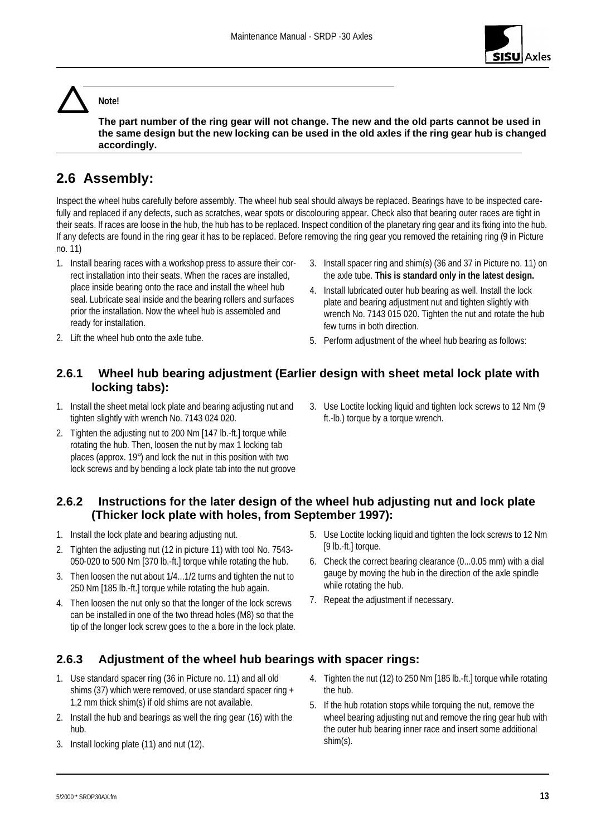

# **Note!**

**The part number of the ring gear will not change. The new and the old parts cannot be used in the same design but the new locking can be used in the old axles if the ring gear hub is changed accordingly.**

# <span id="page-12-0"></span>**2.6 Assembly:**

Inspect the wheel hubs carefully before assembly. The wheel hub seal should always be replaced. Bearings have to be inspected carefully and replaced if any defects, such as scratches, wear spots or discolouring appear. Check also that bearing outer races are tight in their seats. If races are loose in the hub, the hub has to be replaced. Inspect condition of the planetary ring gear and its fixing into the hub. If any defects are found in the ring gear it has to be replaced. Before removing the ring gear you removed the retaining ring (9 in [Picture](#page-8-1)  [no. 11\)](#page-8-1)

- 1. Install bearing races with a workshop press to assure their correct installation into their seats. When the races are installed, place inside bearing onto the race and install the wheel hub seal. Lubricate seal inside and the bearing rollers and surfaces prior the installation. Now the wheel hub is assembled and ready for installation.
- 2. Lift the wheel hub onto the axle tube.
- 3. Install spacer ring and shim(s) (36 and 37 in [Picture no. 11\)](#page-8-1) on the axle tube. **This is standard only in the latest design.**
- 4. Install lubricated outer hub bearing as well. Install the lock plate and bearing adjustment nut and tighten slightly with wrench No. 7143 015 020. Tighten the nut and rotate the hub few turns in both direction.
- 5. Perform adjustment of the wheel hub bearing as follows:

#### <span id="page-12-1"></span>**2.6.1 Wheel hub bearing adjustment (Earlier design with sheet metal lock plate with locking tabs):**

- 1. Install the sheet metal lock plate and bearing adjusting nut and tighten slightly with wrench No. 7143 024 020.
- 2. Tighten the adjusting nut to 200 Nm [147 lb.-ft.] torque while rotating the hub. Then, loosen the nut by max 1 locking tab places (approx. 19°) and lock the nut in this position with two lock screws and by bending a lock plate tab into the nut groove
- 3. Use Loctite locking liquid and tighten lock screws to 12 Nm (9 ft.-lb.) torque by a torque wrench.

#### <span id="page-12-2"></span>**2.6.2 Instructions for the later design of the wheel hub adjusting nut and lock plate (Thicker lock plate with holes, from September 1997):**

- 1. Install the lock plate and bearing adjusting nut.
- 2. Tighten the adjusting nut (12 in picture 11) with tool No. 7543- 050-020 to 500 Nm [370 lb.-ft.] torque while rotating the hub.
- 3. Then loosen the nut about 1/4...1/2 turns and tighten the nut to 250 Nm [185 lb.-ft.] torque while rotating the hub again.
- 4. Then loosen the nut only so that the longer of the lock screws can be installed in one of the two thread holes (M8) so that the tip of the longer lock screw goes to the a bore in the lock plate.
- 5. Use Loctite locking liquid and tighten the lock screws to 12 Nm [9 lb.-ft.] torque.
- 6. Check the correct bearing clearance (0...0.05 mm) with a dial gauge by moving the hub in the direction of the axle spindle while rotating the hub.
- 7. Repeat the adjustment if necessary.

#### <span id="page-12-3"></span>**2.6.3 Adjustment of the wheel hub bearings with spacer rings:**

- 1. Use standard spacer ring (36 in [Picture no. 11](#page-8-1)) and all old shims (37) which were removed, or use standard spacer ring + 1,2 mm thick shim(s) if old shims are not available.
- 2. Install the hub and bearings as well the ring gear (16) with the hub.
- 3. Install locking plate (11) and nut (12).
- 4. Tighten the nut (12) to 250 Nm [185 lb.-ft.] torque while rotating the hub.
- 5. If the hub rotation stops while torquing the nut, remove the wheel bearing adjusting nut and remove the ring gear hub with the outer hub bearing inner race and insert some additional shim(s).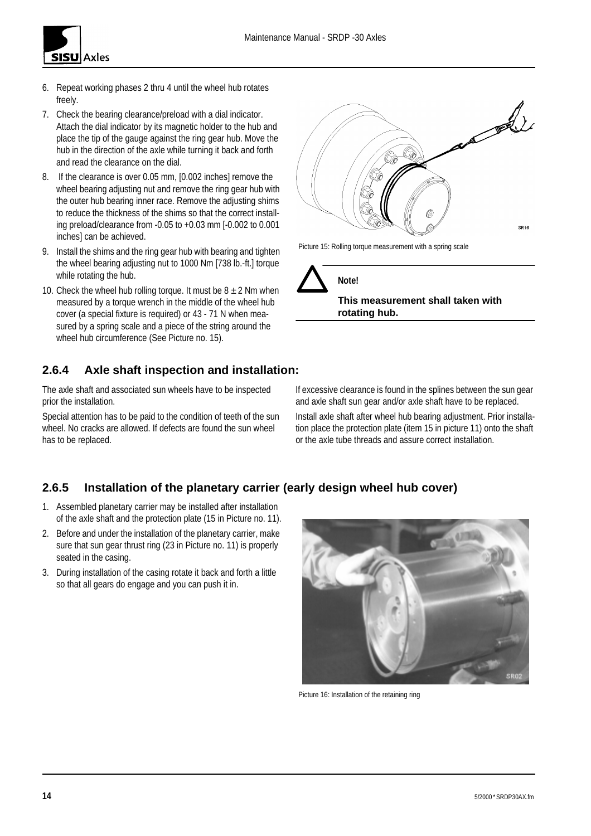

- 6. Repeat working phases 2 thru 4 until the wheel hub rotates freely.
- 7. Check the bearing clearance/preload with a dial indicator. Attach the dial indicator by its magnetic holder to the hub and place the tip of the gauge against the ring gear hub. Move the hub in the direction of the axle while turning it back and forth and read the clearance on the dial.
- 8. If the clearance is over 0.05 mm, [0.002 inches] remove the wheel bearing adjusting nut and remove the ring gear hub with the outer hub bearing inner race. Remove the adjusting shims to reduce the thickness of the shims so that the correct installing preload/clearance from -0.05 to +0.03 mm [-0.002 to 0.001 inches] can be achieved.
- 9. Install the shims and the ring gear hub with bearing and tighten the wheel bearing adjusting nut to 1000 Nm [738 lb.-ft.] torque while rotating the hub.
- 10. Check the wheel hub rolling torque. It must be  $8 \pm 2$  Nm when measured by a torque wrench in the middle of the wheel hub cover (a special fixture is required) or 43 - 71 N when measured by a spring scale and a piece of the string around the wheel hub circumference (See [Picture no. 15](#page-13-2)).

#### <span id="page-13-0"></span>**2.6.4 Axle shaft inspection and installation:**

The axle shaft and associated sun wheels have to be inspected prior the installation.

Special attention has to be paid to the condition of teeth of the sun wheel. No cracks are allowed. If defects are found the sun wheel has to be replaced.



<span id="page-13-2"></span>Picture 15: Rolling torque measurement with a spring scale



If excessive clearance is found in the splines between the sun gear and axle shaft sun gear and/or axle shaft have to be replaced.

Install axle shaft after wheel hub bearing adjustment. Prior installation place the protection plate (item 15 in picture [11](#page-8-1)) onto the shaft or the axle tube threads and assure correct installation.

#### <span id="page-13-1"></span>**2.6.5 Installation of the planetary carrier (early design wheel hub cover)**

- 1. Assembled planetary carrier may be installed after installation of the axle shaft and the protection plate (15 in [Picture no. 11](#page-8-1)).
- 2. Before and under the installation of the planetary carrier, make sure that sun gear thrust ring (23 in [Picture no. 11](#page-8-1)) is properly seated in the casing.
- 3. During installation of the casing rotate it back and forth a little so that all gears do engage and you can push it in.

<span id="page-13-3"></span>

Picture 16: Installation of the retaining ring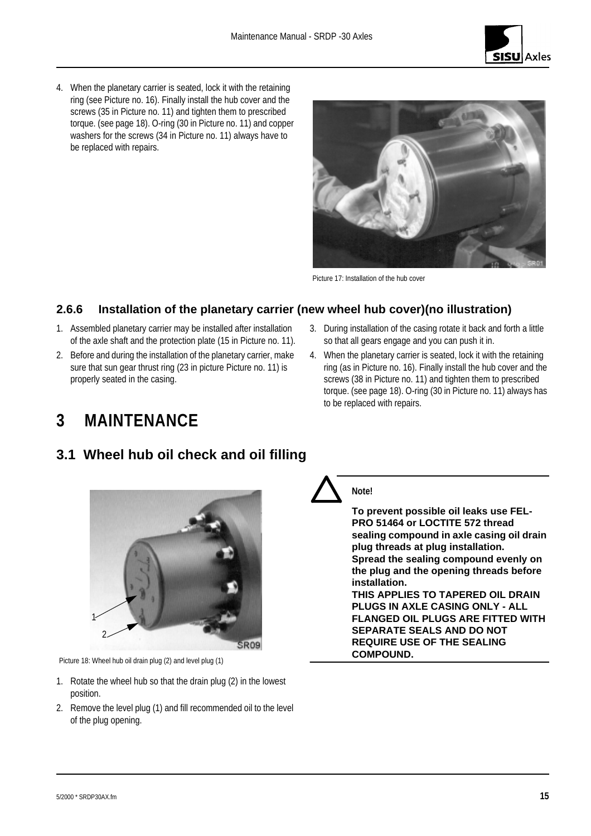

4. When the planetary carrier is seated, lock it with the retaining ring (see [Picture no. 16\)](#page-13-3). Finally install the hub cover and the screws (35 in [Picture no. 11](#page-8-1)) and tighten them to prescribed torque. (see [page 18](#page-17-1)). O-ring (30 in [Picture no. 11](#page-8-1)) and copper washers for the screws (34 in [Picture no. 11](#page-8-1)) always have to be replaced with repairs.



Picture 17: Installation of the hub cover

#### <span id="page-14-0"></span>**2.6.6 Installation of the planetary carrier (new wheel hub cover)(no illustration)**

- 1. Assembled planetary carrier may be installed after installation of the axle shaft and the protection plate (15 in [Picture no. 11](#page-8-1)).
- 2. Before and during the installation of the planetary carrier, make sure that sun gear thrust ring (23 in picture [Picture no. 11](#page-8-1)) is properly seated in the casing.
- 3. During installation of the casing rotate it back and forth a little so that all gears engage and you can push it in.
- 4. When the planetary carrier is seated, lock it with the retaining ring (as in [Picture no. 16\)](#page-13-3). Finally install the hub cover and the screws (38 in [Picture no. 11](#page-8-1)) and tighten them to prescribed torque. (see [page 18](#page-17-1)). O-ring (30 in [Picture no. 11\)](#page-8-1) always has to be replaced with repairs.

# <span id="page-14-1"></span>**3 MAINTENANCE**

### <span id="page-14-2"></span>**3.1 Wheel hub oil check and oil filling**



Picture 18: Wheel hub oil drain plug (2) and level plug (1)

- 1. Rotate the wheel hub so that the drain plug (2) in the lowest position.
- 2. Remove the level plug (1) and fill recommended oil to the level of the plug opening.

**Note!**

**To prevent possible oil leaks use FEL-PRO 51464 or LOCTITE 572 thread sealing compound in axle casing oil drain plug threads at plug installation. Spread the sealing compound evenly on the plug and the opening threads before installation. THIS APPLIES TO TAPERED OIL DRAIN** 

**PLUGS IN AXLE CASING ONLY - ALL FLANGED OIL PLUGS ARE FITTED WITH SEPARATE SEALS AND DO NOT REQUIRE USE OF THE SEALING COMPOUND.**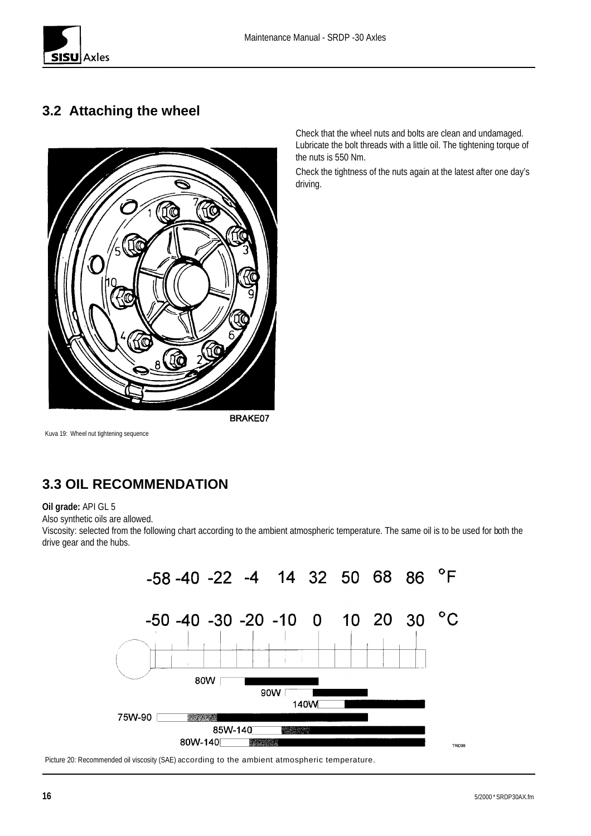

### <span id="page-15-0"></span>**3.2 Attaching the wheel**



Check that the wheel nuts and bolts are clean and undamaged. Lubricate the bolt threads with a little oil. The tightening torque of the nuts is 550 Nm.

Check the tightness of the nuts again at the latest after one day's driving.

Kuva 19: Wheel nut tightening sequence

# <span id="page-15-1"></span>**3.3 OIL RECOMMENDATION**

#### **Oil grade:** API GL 5

Also synthetic oils are allowed.

Viscosity: selected from the following chart according to the ambient atmospheric temperature. The same oil is to be used for both the drive gear and the hubs.



Picture 20: Recommended oil viscosity (SAE) according to the ambient atmospheric temperature.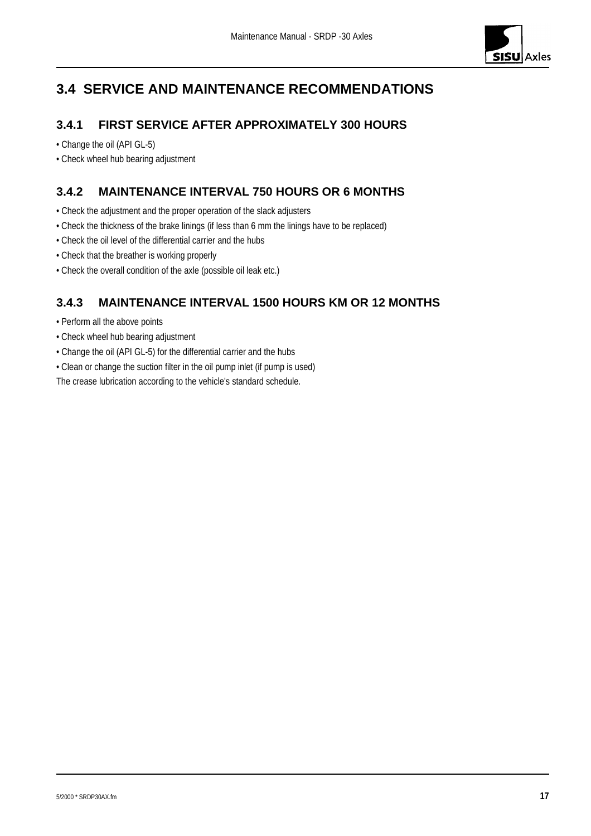

## <span id="page-16-0"></span>**3.4 SERVICE AND MAINTENANCE RECOMMENDATIONS**

#### <span id="page-16-1"></span>**3.4.1 FIRST SERVICE AFTER APPROXIMATELY 300 HOURS**

• Change the oil (API GL-5)

• Check wheel hub bearing adjustment

#### <span id="page-16-2"></span>**3.4.2 MAINTENANCE INTERVAL 750 HOURS OR 6 MONTHS**

- Check the adjustment and the proper operation of the slack adjusters
- Check the thickness of the brake linings (if less than 6 mm the linings have to be replaced)
- Check the oil level of the differential carrier and the hubs
- Check that the breather is working properly
- Check the overall condition of the axle (possible oil leak etc.)

#### <span id="page-16-3"></span>**3.4.3 MAINTENANCE INTERVAL 1500 HOURS KM OR 12 MONTHS**

- Perform all the above points
- Check wheel hub bearing adjustment
- Change the oil (API GL-5) for the differential carrier and the hubs
- Clean or change the suction filter in the oil pump inlet (if pump is used)
- The crease lubrication according to the vehicle's standard schedule.